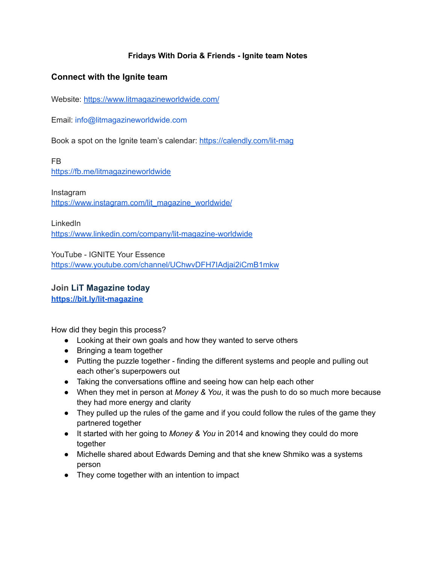# **Fridays With Doria & Friends - Ignite team Notes**

# **Connect with the Ignite team**

Website: <https://www.litmagazineworldwide.com/>

Email: info@litmagazineworldwide.com

Book a spot on the Ignite team's calendar: <https://calendly.com/lit-mag>

FB

<https://fb.me/litmagazineworldwide>

Instagram [https://www.instagram.com/lit\\_magazine\\_worldwide/](https://www.instagram.com/lit_magazine_worldwide/)

LinkedIn

<https://www.linkedin.com/company/lit-magazine-worldwide>

YouTube - IGNITE Your Essence <https://www.youtube.com/channel/UChwvDFH7IAdjai2iCmB1mkw>

**Join LiT Magazine today <https://bit.ly/lit-magazine>**

How did they begin this process?

- Looking at their own goals and how they wanted to serve others
- Bringing a team together
- Putting the puzzle together finding the different systems and people and pulling out each other's superpowers out
- Taking the conversations offline and seeing how can help each other
- When they met in person at *Money & You*, it was the push to do so much more because they had more energy and clarity
- They pulled up the rules of the game and if you could follow the rules of the game they partnered together
- It started with her going to *Money & You* in 2014 and knowing they could do more together
- Michelle shared about Edwards Deming and that she knew Shmiko was a systems person
- They come together with an intention to impact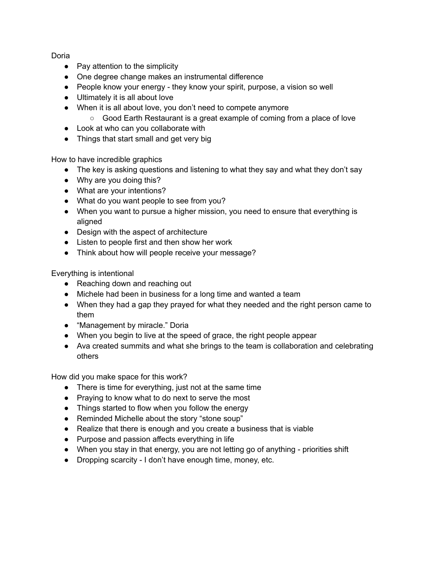Doria

- Pay attention to the simplicity
- One degree change makes an instrumental difference
- People know your energy they know your spirit, purpose, a vision so well
- Ultimately it is all about love
- When it is all about love, you don't need to compete anymore
	- Good Earth Restaurant is a great example of coming from a place of love
- Look at who can you collaborate with
- Things that start small and get very big

How to have incredible graphics

- The key is asking questions and listening to what they say and what they don't say
- Why are you doing this?
- What are your intentions?
- What do you want people to see from you?
- When you want to pursue a higher mission, you need to ensure that everything is aligned
- Design with the aspect of architecture
- Listen to people first and then show her work
- Think about how will people receive your message?

Everything is intentional

- Reaching down and reaching out
- Michele had been in business for a long time and wanted a team
- When they had a gap they prayed for what they needed and the right person came to them
- "Management by miracle." Doria
- When you begin to live at the speed of grace, the right people appear
- Ava created summits and what she brings to the team is collaboration and celebrating others

How did you make space for this work?

- There is time for everything, just not at the same time
- Praying to know what to do next to serve the most
- Things started to flow when you follow the energy
- Reminded Michelle about the story "stone soup"
- Realize that there is enough and you create a business that is viable
- Purpose and passion affects everything in life
- When you stay in that energy, you are not letting go of anything priorities shift
- Dropping scarcity I don't have enough time, money, etc.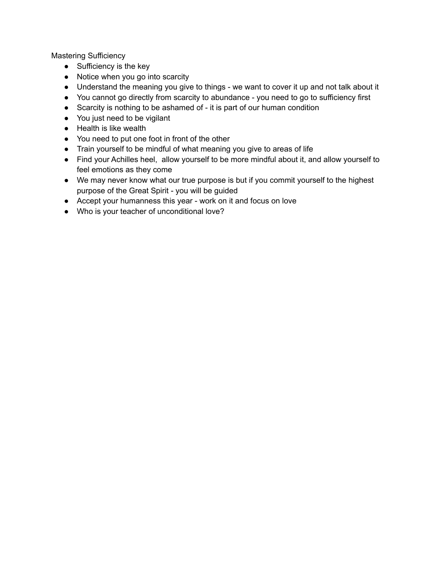Mastering Sufficiency

- Sufficiency is the key
- Notice when you go into scarcity
- Understand the meaning you give to things we want to cover it up and not talk about it
- You cannot go directly from scarcity to abundance you need to go to sufficiency first
- Scarcity is nothing to be ashamed of it is part of our human condition
- You just need to be vigilant
- Health is like wealth
- You need to put one foot in front of the other
- Train yourself to be mindful of what meaning you give to areas of life
- Find your Achilles heel, allow yourself to be more mindful about it, and allow yourself to feel emotions as they come
- We may never know what our true purpose is but if you commit yourself to the highest purpose of the Great Spirit - you will be guided
- Accept your humanness this year work on it and focus on love
- Who is your teacher of unconditional love?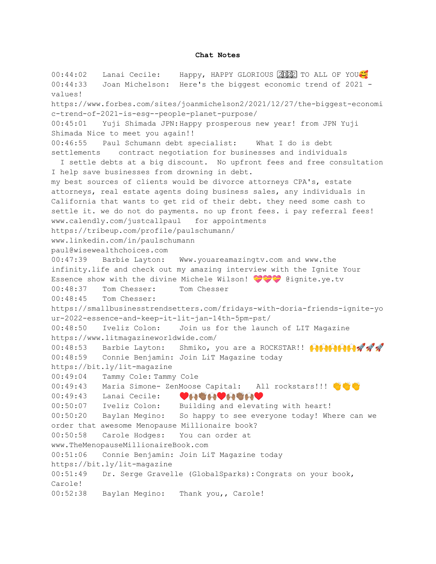#### **Chat Notes**

00:44:02 Lanai Cecile: Happy, HAPPY GLORIOUS 2002 TO ALL OF YOU 00:44:33 Joan Michelson: Here's the biggest economic trend of 2021 values! https://www.forbes.com/sites/joanmichelson2/2021/12/27/the-biggest-economi c-trend-of-2021-is-esg--people-planet-purpose/ 00:45:01 Yuji Shimada JPN:Happy prosperous new year! from JPN Yuji Shimada Nice to meet you again!! 00:46:55 Paul Schumann debt specialist: What I do is debt settlements contract negotiation for businesses and individuals I settle debts at a big discount. No upfront fees and free consultation I help save businesses from drowning in debt. my best sources of clients would be divorce attorneys CPA's, estate attorneys, real estate agents doing business sales, any individuals in California that wants to get rid of their debt. they need some cash to settle it. we do not do payments. no up front fees. i pay referral fees! www.calendly.com/justcallpaul for appointments https://tribeup.com/profile/paulschumann/ www.linkedin.com/in/paulschumann paul@wisewealthchoices.com 00:47:39 Barbie Layton: Www.youareamazingtv.com and www.the infinity.life and check out my amazing interview with the Ignite Your Essence show with the divine Michele Wilson!  $\bigcirc$  ignite.ye.tv 00:48:37 Tom Chesser: Tom Chesser 00:48:45 Tom Chesser: https://smallbusinesstrendsetters.com/fridays-with-doria-friends-ignite-yo ur-2022-essence-and-keep-it-lit-jan-14th-5pm-pst/ 00:48:50 Iveliz Colon: Join us for the launch of LIT Magazine https://www.litmagazineworldwide.com/ 00:48:53 Barbie Layton: Shmiko, you are a ROCKSTAR!! **ACALLER** 00:48:59 Connie Benjamin: Join LiT Magazine today https://bit.ly/lit-magazine 00:49:04 Tammy Cole: Tammy Cole 00:49:43 Maria Simone- ZenMoose Capital: All rockstars!!! 00:49:43 Lanai Cecile: ♥<del>A \A</del> 00:50:07 Iveliz Colon: Building and elevating with heart! 00:50:20 Baylan Megino: So happy to see everyone today! Where can we order that awesome Menopause Millionaire book? 00:50:58 Carole Hodges: You can order at www.TheMenopauseMillionaireBook.com 00:51:06 Connie Benjamin: Join LiT Magazine today https://bit.ly/lit-magazine 00:51:49 Dr. Serge Gravelle (GlobalSparks): Congrats on your book, Carole! 00:52:38 Baylan Megino: Thank you,, Carole!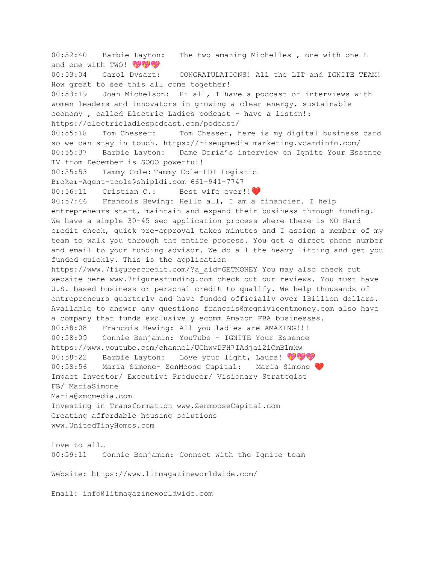00:52:40 Barbie Layton: The two amazing Michelles , one with one L and one with TWO! OF ST 00:53:04 Carol Dysart: CONGRATULATIONS! All the LIT and IGNITE TEAM! How great to see this all come together! 00:53:19 Joan Michelson: Hi all, I have a podcast of interviews with women leaders and innovators in growing a clean energy, sustainable economy, called Electric Ladies podcast - have a listen!: https://electricladiespodcast.com/podcast/ 00:55:18 Tom Chesser: Tom Chesser, here is my digital business card so we can stay in touch. https://riseupmedia-marketing.vcardinfo.com/ 00:55:37 Barbie Layton: Dame Doria's interview on Ignite Your Essence TV from December is SOOO powerful! 00:55:53 Tammy Cole: Tammy Cole-LDI Logistic Broker-Agent-tcole@shipldi.com 661-941-7747 00:56:11 Cristian C.: Best wife ever!!❤️ 00:57:46 Francois Hewing: Hello all, I am a financier. I help entrepreneurs start, maintain and expand their business through funding. We have a simple 30-45 sec application process where there is NO Hard credit check, quick pre-approval takes minutes and I assign a member of my team to walk you through the entire process. You get a direct phone number and email to your funding advisor. We do all the heavy lifting and get you funded quickly. This is the application https://www.7figurescredit.com/?a\_aid=GETMONEY You may also check out website here www.7figuresfunding.com check out our reviews. You must have U.S. based business or personal credit to qualify. We help thousands of entrepreneurs quarterly and have funded officially over 1Billion dollars. Available to answer any questions francois@megnivicentmoney.com also have a company that funds exclusively ecomm Amazon FBA businesses. 00:58:08 Francois Hewing: All you ladies are AMAZING!!! 00:58:09 Connie Benjamin: YouTube - IGNITE Your Essence https://www.youtube.com/channel/UChwvDFH7IAdjai2iCmB1mkw 00:58:22 Barbie Layton: Love your light, Laura! WWW 00:58:56 Maria Simone- ZenMoose Capital: Maria Simone ❤️ Impact Investor/ Executive Producer/ Visionary Strategist FB/ MariaSimone Maria@zmcmedia.com Investing in Transformation www.ZenmooseCapital.com Creating affordable housing solutions www.UnitedTinyHomes.com Love to all… 00:59:11 Connie Benjamin: Connect with the Ignite team Website: https://www.litmagazineworldwide.com/ Email: info@litmagazineworldwide.com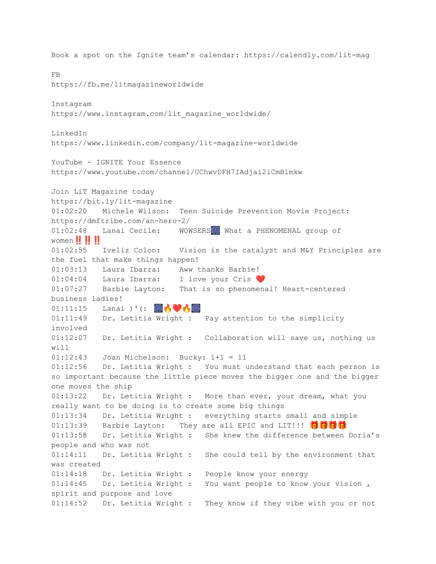Book a spot on the Ignite team's calendar: https://calendly.com/lit-mag FB https://fb.me/litmagazineworldwide Instagram https://www.instagram.com/lit magazine worldwide/ LinkedIn https://www.linkedin.com/company/lit-magazine-worldwide YouTube - IGNITE Your Essence https://www.youtube.com/channel/UChwvDFH7IAdjai2iCmB1mkw Join LiT Magazine today https://bit.ly/lit-magazine 01:02:20 Michele Wilson: Teen Suicide Prevention Movie Project: https://dmftribe.com/an-hero-2/ 01:02:48 Lanai Cecile: WOWSERS What a PHENOMENAL group of women **!! !! !!** 01:02:55 Iveliz Colon: Vision is the catalyst and M&Y Principles are the fuel that make things happen! 01:03:13 Laura Ibarra: Aww thanks Barbie! 01:04:04 Laura Ibarra: I love your Cris 01:07:27 Barbie Layton: That is so phenomenal! Heart-centered business ladies!  $01:11:15$  Lanai )'(: 80 01:11:49 Dr. Letitia Wright : Pay attention to the simplicity involved 01:12:07 Dr. Letitia Wright : Collaboration will save us, nothing us will 01:12:43 Joan Michelson: Bucky: 1+1 = 11 01:12:56 Dr. Letitia Wright : You must understand that each person is so important because the little piece moves the bigger one and the bigger one moves the ship 01:13:22 Dr. Letitia Wright : More than ever, your dream, what you really want to be doing is to create some big things 01:13:34 Dr. Letitia Wright : everything starts small and simple 01:13:39 Barbie Layton: They are all EPIC and LIT!!! 门前的 01:13:58 Dr. Letitia Wright : She knew the difference between Doria's people and who was not 01:14:11 Dr. Letitia Wright : She could tell by the environment that was created 01:14:18 Dr. Letitia Wright : People know your energy 01:14:45 Dr. Letitia Wright : You want people to know your vision , spirit and purpose and love 01:14:52 Dr. Letitia Wright : They know if they vibe with you or not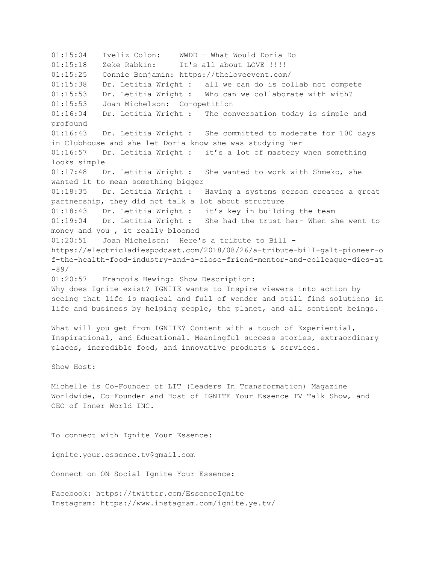01:15:04 Iveliz Colon: WWDD — What Would Doria Do 01:15:18 Zeke Rabkin: It's all about LOVE !!!! 01:15:25 Connie Benjamin: https://theloveevent.com/ 01:15:38 Dr. Letitia Wright : all we can do is collab not compete 01:15:53 Dr. Letitia Wright : Who can we collaborate with with? 01:15:53 Joan Michelson: Co-opetition 01:16:04 Dr. Letitia Wright : The conversation today is simple and profound 01:16:43 Dr. Letitia Wright : She committed to moderate for 100 days in Clubhouse and she let Doria know she was studying her 01:16:57 Dr. Letitia Wright : it's a lot of mastery when something looks simple 01:17:48 Dr. Letitia Wright : She wanted to work with Shmeko, she wanted it to mean something bigger 01:18:35 Dr. Letitia Wright : Having a systems person creates a great partnership, they did not talk a lot about structure 01:18:43 Dr. Letitia Wright : it's key in building the team 01:19:04 Dr. Letitia Wright : She had the trust her- When she went to money and you , it really bloomed 01:20:51 Joan Michelson: Here's a tribute to Bill https://electricladiespodcast.com/2018/08/26/a-tribute-bill-galt-pioneer-o f-the-health-food-industry-and-a-close-friend-mentor-and-colleague-dies-at -89/ 01:20:57 Francois Hewing: Show Description: Why does Ignite exist? IGNITE wants to Inspire viewers into action by seeing that life is magical and full of wonder and still find solutions in life and business by helping people, the planet, and all sentient beings. What will you get from IGNITE? Content with a touch of Experiential, Inspirational, and Educational. Meaningful success stories, extraordinary places, incredible food, and innovative products & services. Show Host: Michelle is Co-Founder of LIT (Leaders In Transformation) Magazine Worldwide, Co-Founder and Host of IGNITE Your Essence TV Talk Show, and CEO of Inner World INC. To connect with Ignite Your Essence: ignite.your.essence.tv@gmail.com Connect on ON Social Ignite Your Essence: Facebook: https://twitter.com/EssenceIgnite Instagram: https://www.instagram.com/ignite.ye.tv/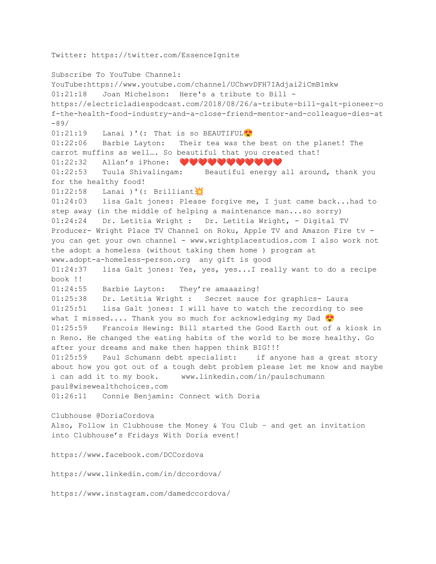Twitter: https://twitter.com/EssenceIgnite

Subscribe To YouTube Channel: YouTube:https://www.youtube.com/channel/UChwvDFH7IAdjai2iCmB1mkw 01:21:18 Joan Michelson: Here's a tribute to Bill https://electricladiespodcast.com/2018/08/26/a-tribute-bill-galt-pioneer-o f-the-health-food-industry-and-a-close-friend-mentor-and-colleague-dies-at -89/ 01:21:19 Lanai )'(: That is so BEAUTIFUL<sup>9</sup> 01:22:06 Barbie Layton: Their tea was the best on the planet! The carrot muffins as well…. So beautiful that you created that! 01:22:32 Allan's iPhone: ♥♥♥♥♥♥♥♥♥♥♥ 01:22:53 Tuula Shivalingam: Beautiful energy all around, thank you for the healthy food!  $01:22:58$  Lanai )'(: Brilliant 01:24:03 lisa Galt jones: Please forgive me, I just came back...had to step away (in the middle of helping a maintenance man...so sorry) 01:24:24 Dr. Letitia Wright : Dr. Letitia Wright, - Digital TV Producer- Wright Place TV Channel on Roku, Apple TV and Amazon Fire tv you can get your own channel - www.wrightplacestudios.com I also work not the adopt a homeless (without taking them home ) program at www.adopt-a-homeless-person.org any gift is good 01:24:37 lisa Galt jones: Yes, yes, yes...I really want to do a recipe book !! 01:24:55 Barbie Layton: They're amaaazing! 01:25:38 Dr. Letitia Wright : Secret sauce for graphics- Laura 01:25:51 lisa Galt jones: I will have to watch the recording to see what I missed.... Thank you so much for acknowledging my Dad  $\bullet$ 01:25:59 Francois Hewing: Bill started the Good Earth out of a kiosk in n Reno. He changed the eating habits of the world to be more healthy. Go after your dreams and make then happen think BIG!!! 01:25:59 Paul Schumann debt specialist: if anyone has a great story about how you got out of a tough debt problem please let me know and maybe i can add it to my book. www.linkedin.com/in/paulschumann paul@wisewealthchoices.com 01:26:11 Connie Benjamin: Connect with Doria Clubhouse @DoriaCordova Also, Follow in Clubhouse the Money & You Club – and get an invitation into Clubhouse's Fridays With Doria event! https://www.facebook.com/DCCordova https://www.linkedin.com/in/dccordova/ https://www.instagram.com/damedccordova/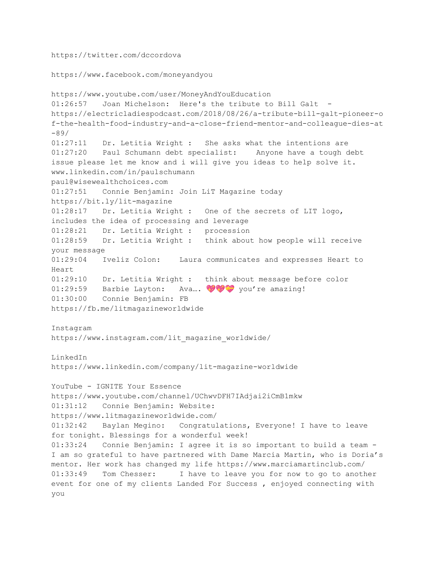https://twitter.com/dccordova

```
https://www.facebook.com/moneyandyou
```

```
https://www.youtube.com/user/MoneyAndYouEducation
01:26:57 Joan Michelson: Here's the tribute to Bill Galt -
https://electricladiespodcast.com/2018/08/26/a-tribute-bill-galt-pioneer-o
f-the-health-food-industry-and-a-close-friend-mentor-and-colleague-dies-at
-89/
01:27:11 Dr. Letitia Wright : She asks what the intentions are
01:27:20 Paul Schumann debt specialist: Anyone have a tough debt
issue please let me know and i will give you ideas to help solve it.
www.linkedin.com/in/paulschumann
paul@wisewealthchoices.com
01:27:51 Connie Benjamin: Join LiT Magazine today
https://bit.ly/lit-magazine
01:28:17 Dr. Letitia Wright : One of the secrets of LIT logo,
includes the idea of processing and leverage
01:28:21 Dr. Letitia Wright : procession
01:28:59 Dr. Letitia Wright : think about how people will receive
your message
01:29:04 Iveliz Colon: Laura communicates and expresses Heart to
Heart
01:29:10 Dr. Letitia Wright : think about message before color
01:29:59 Barbie Layton: Ava... \bigcirc \bigcirc \bigcirc \bigcirc you're amazing!
01:30:00 Connie Benjamin: FB
https://fb.me/litmagazineworldwide
Instagram
https://www.instagram.com/lit_magazine_worldwide/
LinkedIn
https://www.linkedin.com/company/lit-magazine-worldwide
YouTube - IGNITE Your Essence
https://www.youtube.com/channel/UChwvDFH7IAdjai2iCmB1mkw
01:31:12 Connie Benjamin: Website:
https://www.litmagazineworldwide.com/
01:32:42 Baylan Megino: Congratulations, Everyone! I have to leave
for tonight. Blessings for a wonderful week!
01:33:24 Connie Benjamin: I agree it is so important to build a team -
I am so grateful to have partnered with Dame Marcia Martin, who is Doria's
mentor. Her work has changed my life https://www.marciamartinclub.com/
01:33:49 Tom Chesser: I have to leave you for now to go to another
event for one of my clients Landed For Success , enjoyed connecting with
you
```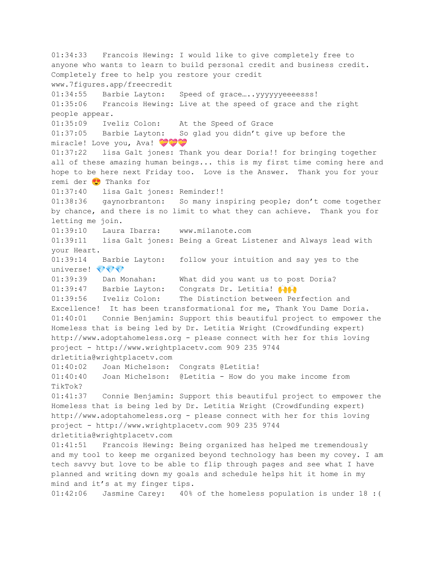01:34:33 Francois Hewing: I would like to give completely free to anyone who wants to learn to build personal credit and business credit. Completely free to help you restore your credit www.7figures.app/freecredit 01:34:55 Barbie Layton: Speed of grace....yyyyyyeeeesss! 01:35:06 Francois Hewing: Live at the speed of grace and the right people appear. 01:35:09 Iveliz Colon: At the Speed of Grace 01:37:05 Barbie Layton: So glad you didn't give up before the miracle! Love you, Ava! 01:37:22 lisa Galt jones: Thank you dear Doria!! for bringing together all of these amazing human beings... this is my first time coming here and hope to be here next Friday too. Love is the Answer. Thank you for your remi der <sup>1</sup> Thanks for 01:37:40 lisa Galt jones: Reminder!! 01:38:36 gaynorbranton: So many inspiring people; don't come together by chance, and there is no limit to what they can achieve. Thank you for letting me join. 01:39:10 Laura Ibarra: www.milanote.com 01:39:11 lisa Galt jones: Being a Great Listener and Always lead with your Heart. 01:39:14 Barbie Layton: follow your intuition and say yes to the universe! VVV 01:39:39 Dan Monahan: What did you want us to post Doria? 01:39:47 Barbie Layton: Congrats Dr. Letitia!  $\bigoplus$ 01:39:56 Iveliz Colon: The Distinction between Perfection and Excellence! It has been transformational for me, Thank You Dame Doria. 01:40:01 Connie Benjamin: Support this beautiful project to empower the Homeless that is being led by Dr. Letitia Wright (Crowdfunding expert) http://www.adoptahomeless.org - please connect with her for this loving project - http://www.wrightplacetv.com 909 235 9744 drletitia@wrightplacetv.com 01:40:02 Joan Michelson: Congrats @Letitia! 01:40:40 Joan Michelson: @Letitia - How do you make income from TikTok? 01:41:37 Connie Benjamin: Support this beautiful project to empower the Homeless that is being led by Dr. Letitia Wright (Crowdfunding expert) http://www.adoptahomeless.org - please connect with her for this loving project - http://www.wrightplacetv.com 909 235 9744 drletitia@wrightplacetv.com 01:41:51 Francois Hewing: Being organized has helped me tremendously and my tool to keep me organized beyond technology has been my covey. I am tech savvy but love to be able to flip through pages and see what I have planned and writing down my goals and schedule helps hit it home in my mind and it's at my finger tips. 01:42:06 Jasmine Carey: 40% of the homeless population is under 18 :(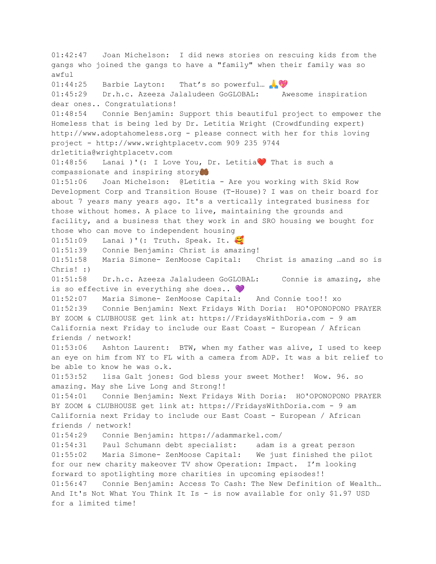01:42:47 Joan Michelson: I did news stories on rescuing kids from the gangs who joined the gangs to have a "family" when their family was so awful 01:44:25 Barbie Layton: That's so powerful... 01:45:29 Dr.h.c. Azeeza Jalaludeen GoGLOBAL: Awesome inspiration dear ones.. Congratulations! 01:48:54 Connie Benjamin: Support this beautiful project to empower the Homeless that is being led by Dr. Letitia Wright (Crowdfunding expert) http://www.adoptahomeless.org - please connect with her for this loving project - http://www.wrightplacetv.com 909 235 9744 drletitia@wrightplacetv.com 01:48:56 Lanai )'(: I Love You, Dr. Letitia❤️ That is such a compassionate and inspiring story 01:51:06 Joan Michelson: @Letitia - Are you working with Skid Row Development Corp and Transition House (T-House)? I was on their board for about 7 years many years ago. It's a vertically integrated business for those without homes. A place to live, maintaining the grounds and facility, and a business that they work in and SRO housing we bought for those who can move to independent housing 01:51:09 Lanai )'(: Truth. Speak. It. 01:51:39 Connie Benjamin: Christ is amazing! 01:51:58 Maria Simone- ZenMoose Capital: Christ is amazing …and so is Chris! :) 01:51:58 Dr.h.c. Azeeza Jalaludeen GoGLOBAL: Connie is amazing, she is so effective in everything she does.. 01:52:07 Maria Simone- ZenMoose Capital: And Connie too!! xo 01:52:39 Connie Benjamin: Next Fridays With Doria: HO'OPONOPONO PRAYER BY ZOOM & CLUBHOUSE get link at: https://FridaysWithDoria.com - 9 am California next Friday to include our East Coast - European / African friends / network! 01:53:06 Ashton Laurent: BTW, when my father was alive, I used to keep an eye on him from NY to FL with a camera from ADP. It was a bit relief to be able to know he was o.k. 01:53:52 lisa Galt jones: God bless your sweet Mother! Wow. 96. so amazing. May she Live Long and Strong!! 01:54:01 Connie Benjamin: Next Fridays With Doria: HO'OPONOPONO PRAYER BY ZOOM & CLUBHOUSE get link at: https://FridaysWithDoria.com - 9 am California next Friday to include our East Coast - European / African friends / network! 01:54:29 Connie Benjamin: https://adammarkel.com/ 01:54:31 Paul Schumann debt specialist: adam is a great person 01:55:02 Maria Simone- ZenMoose Capital: We just finished the pilot for our new charity makeover TV show Operation: Impact. I'm looking forward to spotlighting more charities in upcoming episodes!! 01:56:47 Connie Benjamin: Access To Cash: The New Definition of Wealth… And It's Not What You Think It Is - is now available for only \$1.97 USD for a limited time!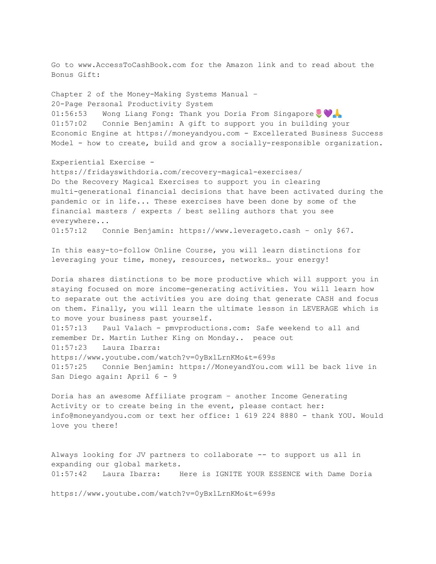Go to www.AccessToCashBook.com for the Amazon link and to read about the Bonus Gift: Chapter 2 of the Money-Making Systems Manual – 20-Page Personal Productivity System 01:56:53 Wong Liang Fong: Thank you Doria From Singapore 01:57:02 Connie Benjamin: A gift to support you in building your Economic Engine at https://moneyandyou.com - Excellerated Business Success Model - how to create, build and grow a socially-responsible organization. Experiential Exercise https://fridayswithdoria.com/recovery-magical-exercises/ Do the Recovery Magical Exercises to support you in clearing multi-generational financial decisions that have been activated during the pandemic or in life... These exercises have been done by some of the financial masters / experts / best selling authors that you see everywhere... 01:57:12 Connie Benjamin: https://www.leverageto.cash – only \$67. In this easy-to-follow Online Course, you will learn distinctions for leveraging your time, money, resources, networks… your energy! Doria shares distinctions to be more productive which will support you in staying focused on more income-generating activities. You will learn how to separate out the activities you are doing that generate CASH and focus on them. Finally, you will learn the ultimate lesson in LEVERAGE which is to move your business past yourself. 01:57:13 Paul Valach - pmvproductions.com: Safe weekend to all and remember Dr. Martin Luther King on Monday.. peace out 01:57:23 Laura Ibarra: https://www.youtube.com/watch?v=0yBxlLrnKMo&t=699s 01:57:25 Connie Benjamin: https://MoneyandYou.com will be back live in San Diego again: April 6 - 9 Doria has an awesome Affiliate program – another Income Generating Activity or to create being in the event, please contact her: info@moneyandyou.com or text her office: 1 619 224 8880 - thank YOU. Would love you there! Always looking for JV partners to collaborate -- to support us all in expanding our global markets. 01:57:42 Laura Ibarra: Here is IGNITE YOUR ESSENCE with Dame Doria

https://www.youtube.com/watch?v=0yBxlLrnKMo&t=699s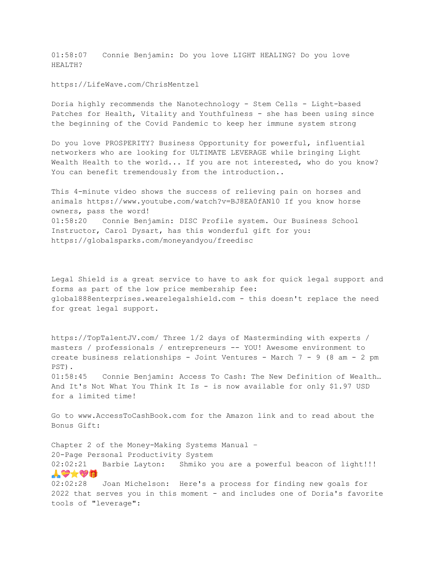01:58:07 Connie Benjamin: Do you love LIGHT HEALING? Do you love HEALTH?

https://LifeWave.com/ChrisMentzel

Doria highly recommends the Nanotechnology - Stem Cells - Light-based Patches for Health, Vitality and Youthfulness - she has been using since the beginning of the Covid Pandemic to keep her immune system strong

Do you love PROSPERITY? Business Opportunity for powerful, influential networkers who are looking for ULTIMATE LEVERAGE while bringing Light Wealth Health to the world... If you are not interested, who do you know? You can benefit tremendously from the introduction..

This 4-minute video shows the success of relieving pain on horses and animals https://www.youtube.com/watch?v=BJ8EA0fANl0 If you know horse owners, pass the word! 01:58:20 Connie Benjamin: DISC Profile system. Our Business School Instructor, Carol Dysart, has this wonderful gift for you: https://globalsparks.com/moneyandyou/freedisc

Legal Shield is a great service to have to ask for quick legal support and forms as part of the low price membership fee: global888enterprises.wearelegalshield.com - this doesn't replace the need for great legal support.

https://TopTalentJV.com/ Three 1/2 days of Masterminding with experts / masters / professionals / entrepreneurs -- YOU! Awesome environment to create business relationships - Joint Ventures - March 7 - 9 (8 am - 2 pm PST).

01:58:45 Connie Benjamin: Access To Cash: The New Definition of Wealth… And It's Not What You Think It Is - is now available for only \$1.97 USD for a limited time!

Go to www.AccessToCashBook.com for the Amazon link and to read about the Bonus Gift:

Chapter 2 of the Money-Making Systems Manual – 20-Page Personal Productivity System 02:02:21 Barbie Layton: Shmiko you are a powerful beacon of light!!!  $\boldsymbol{A} \otimes \boldsymbol{A} \otimes \boldsymbol{B}$ 02:02:28 Joan Michelson: Here's a process for finding new goals for 2022 that serves you in this moment - and includes one of Doria's favorite tools of "leverage":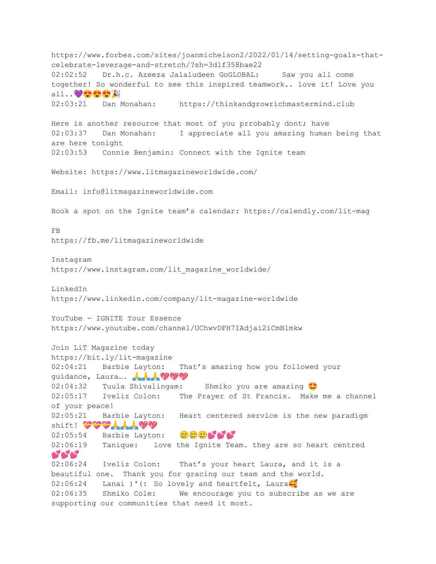https://www.forbes.com/sites/joanmichelson2/2022/01/14/setting-goals-thatcelebrate-leverage-and-stretch/?sh=3d1f358bae22 02:02:52 Dr.h.c. Azeeza Jalaludeen GoGLOBAL: Saw you all come together! So wonderful to see this inspired teamwork.. love it! Love you all.. 02:03:21 Dan Monahan: https://thinkandgrowrichmastermind.club Here is another resource that most of you prrobably dont; have 02:03:37 Dan Monahan: I appreciate all you amazing human being that are here tonight 02:03:53 Connie Benjamin: Connect with the Ignite team Website: https://www.litmagazineworldwide.com/ Email: info@litmagazineworldwide.com Book a spot on the Ignite team's calendar: https://calendly.com/lit-mag FB https://fb.me/litmagazineworldwide Instagram https://www.instagram.com/lit magazine worldwide/ LinkedIn https://www.linkedin.com/company/lit-magazine-worldwide YouTube - IGNITE Your Essence https://www.youtube.com/channel/UChwvDFH7IAdjai2iCmB1mkw Join LiT Magazine today https://bit.ly/lit-magazine 02:04:21 Barbie Layton: That's amazing how you followed your guidance, Laura.... AAA♥♥♥ 02:04:32 Tuula Shivalingam: Shmiko you are amazing 02:05:17 Iveliz Colon: The Prayer of St Francis. Make me a channel of your peace! 02:05:21 Barbie Layton: Heart centered service is the new paradigm Shift! \*\*\*\*\*\*\*\*\* 02:05:54 Barbie Layton: 0000666 02:06:19 Tanique: love the Ignite Team. they are so heart centred **868** 02:06:24 Iveliz Colon: That's your heart Laura, and it is a beautiful one. Thank you for gracing our team and the world. 02:06:24 Lanai )'(: So lovely and heartfelt, Laura $\ddot{\mathbf{c}}$ 02:06:35 Shmiko Cole: We encourage you to subscribe as we are supporting our communities that need it most.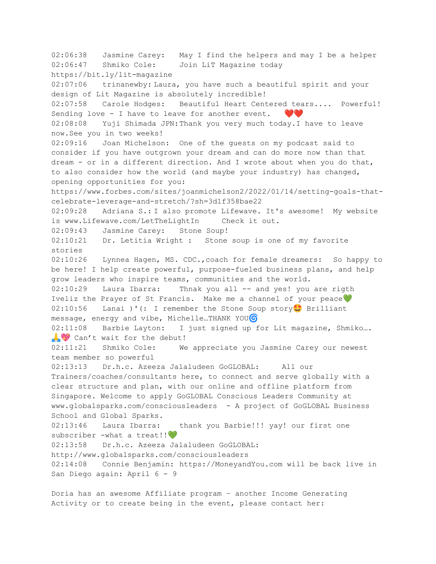02:06:38 Jasmine Carey: May I find the helpers and may I be a helper 02:06:47 Shmiko Cole: Join LiT Magazine today https://bit.ly/lit-magazine 02:07:06 trinanewby: Laura, you have such a beautiful spirit and your design of Lit Magazine is absolutely incredible! 02:07:58 Carole Hodges: Beautiful Heart Centered tears.... Powerful! Sending love - I have to leave for another event.  $\bullet\bullet$ 02:08:08 Yuji Shimada JPN:Thank you very much today.I have to leave now.See you in two weeks! 02:09:16 Joan Michelson: One of the guests on my podcast said to consider if you have outgrown your dream and can do more now than that dream - or in a different direction. And I wrote about when you do that, to also consider how the world (and maybe your industry) has changed, opening opportunities for you: https://www.forbes.com/sites/joanmichelson2/2022/01/14/setting-goals-thatcelebrate-leverage-and-stretch/?sh=3d1f358bae22 02:09:28 Adriana S.: I also promote Lifewave. It's awesome! My website is www.Lifewave.com/LetTheLightIn Check it out. 02:09:43 Jasmine Carey: Stone Soup! 02:10:21 Dr. Letitia Wright : Stone soup is one of my favorite stories 02:10:26 Lynnea Hagen, MS. CDC.,coach for female dreamers: So happy to be here! I help create powerful, purpose-fueled business plans, and help grow leaders who inspire teams, communities and the world. 02:10:29 Laura Ibarra: Thnak you all -- and yes! you are rigth Iveliz the Prayer of St Francis. Make me a channel of your peace 02:10:56 Lanai )'(: I remember the Stone Soup story Brilliant message, energy and vibe, Michelle...THANK YOU<sup>G</sup> 02:11:08 Barbie Layton: I just signed up for Lit magazine, Shmiko…. Can't wait for the debut! 02:11:21 Shmiko Cole: We appreciate you Jasmine Carey our newest team member so powerful 02:13:13 Dr.h.c. Azeeza Jalaludeen GoGLOBAL: All our Trainers/coaches/consultants here, to connect and serve globally with a clear structure and plan, with our online and offline platform from Singapore. Welcome to apply GoGLOBAL Conscious Leaders Community at www.globalsparks.com/consciousleaders - A project of GoGLOBAL Business School and Global Sparks. 02:13:46 Laura Ibarra: thank you Barbie!!! yay! our first one subscriber -what a treat!! 02:13:58 Dr.h.c. Azeeza Jalaludeen GoGLOBAL: http://www.globalsparks.com/consciousleaders 02:14:08 Connie Benjamin: https://MoneyandYou.com will be back live in San Diego again: April 6 - 9

Doria has an awesome Affiliate program – another Income Generating Activity or to create being in the event, please contact her: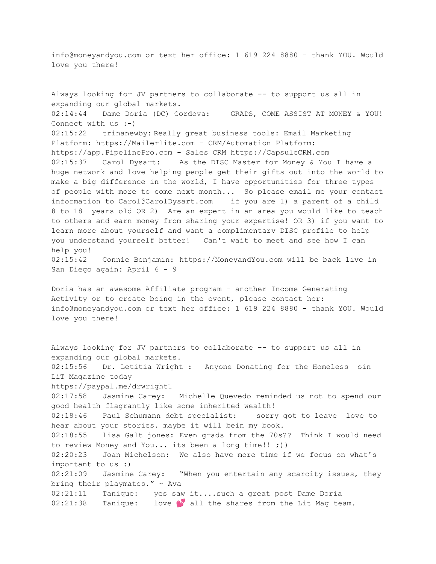info@moneyandyou.com or text her office: 1 619 224 8880 - thank YOU. Would love you there!

Always looking for JV partners to collaborate -- to support us all in expanding our global markets. 02:14:44 Dame Doria (DC) Cordova: GRADS, COME ASSIST AT MONEY & YOU! Connect with us :-) 02:15:22 trinanewby: Really great business tools: Email Marketing Platform: https://Mailerlite.com - CRM/Automation Platform: https://app.PipelinePro.com - Sales CRM https://CapsuleCRM.com 02:15:37 Carol Dysart: As the DISC Master for Money & You I have a huge network and love helping people get their gifts out into the world to make a big difference in the world, I have opportunities for three types of people with more to come next month... So please email me your contact information to Carol@CarolDysart.com if you are 1) a parent of a child 8 to 18 years old OR 2) Are an expert in an area you would like to teach to others and earn money from sharing your expertise! OR 3) if you want to learn more about yourself and want a complimentary DISC profile to help you understand yourself better! Can't wait to meet and see how I can help you! 02:15:42 Connie Benjamin: https://MoneyandYou.com will be back live in San Diego again: April 6 - 9 Doria has an awesome Affiliate program – another Income Generating Activity or to create being in the event, please contact her: info@moneyandyou.com or text her office: 1 619 224 8880 - thank YOU. Would love you there! Always looking for JV partners to collaborate -- to support us all in expanding our global markets. 02:15:56 Dr. Letitia Wright : Anyone Donating for the Homeless oin LiT Magazine today https://paypal.me/drwright1 02:17:58 Jasmine Carey: Michelle Quevedo reminded us not to spend our good health flagrantly like some inherited wealth! 02:18:46 Paul Schumann debt specialist: sorry got to leave love to hear about your stories. maybe it will bein my book. 02:18:55 lisa Galt jones: Even grads from the 70s?? Think I would need to review Money and You... its been a long time!! ;)) 02:20:23 Joan Michelson: We also have more time if we focus on what's important to us :) 02:21:09 Jasmine Carey: "When you entertain any scarcity issues, they bring their playmates." ~ Ava 02:21:11 Tanique: yes saw it....such a great post Dame Doria  $02:21:38$  Tanique: love **S** all the shares from the Lit Mag team.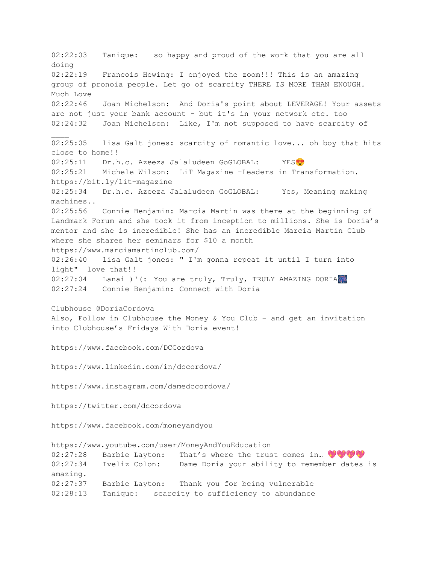02:22:03 Tanique: so happy and proud of the work that you are all doing 02:22:19 Francois Hewing: I enjoyed the zoom!!! This is an amazing group of pronoia people. Let go of scarcity THERE IS MORE THAN ENOUGH. Much Love 02:22:46 Joan Michelson: And Doria's point about LEVERAGE! Your assets are not just your bank account - but it's in your network etc. too 02:24:32 Joan Michelson: Like, I'm not supposed to have scarcity of 02:25:05 lisa Galt jones: scarcity of romantic love... oh boy that hits close to home!! 02:25:11 Dr.h.c. Azeeza Jalaludeen GoGLOBAL: YES<sup>(2)</sup> 02:25:21 Michele Wilson: LiT Magazine -Leaders in Transformation. https://bit.ly/lit-magazine 02:25:34 Dr.h.c. Azeeza Jalaludeen GoGLOBAL: Yes, Meaning making machines.. 02:25:56 Connie Benjamin: Marcia Martin was there at the beginning of Landmark Forum and she took it from inception to millions. She is Doria's mentor and she is incredible! She has an incredible Marcia Martin Club where she shares her seminars for \$10 a month https://www.marciamartinclub.com/ 02:26:40 lisa Galt jones: " I'm gonna repeat it until I turn into light" love that!! 02:27:04 Lanai )'(: You are truly, Truly, TRULY AMAZING DORIA 02:27:24 Connie Benjamin: Connect with Doria Clubhouse @DoriaCordova Also, Follow in Clubhouse the Money & You Club – and get an invitation into Clubhouse's Fridays With Doria event! https://www.facebook.com/DCCordova https://www.linkedin.com/in/dccordova/ https://www.instagram.com/damedccordova/ https://twitter.com/dccordova https://www.facebook.com/moneyandyou https://www.youtube.com/user/MoneyAndYouEducation 02:27:28 Barbie Layton: That's where the trust comes in...  $\bigcirc \bigcirc \bigcirc \bigcirc$ 02:27:34 Iveliz Colon: Dame Doria your ability to remember dates is amazing. 02:27:37 Barbie Layton: Thank you for being vulnerable 02:28:13 Tanique: scarcity to sufficiency to abundance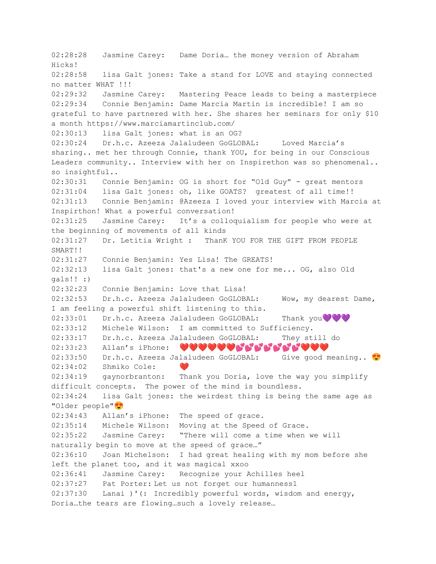02:28:28 Jasmine Carey: Dame Doria… the money version of Abraham Hicks! 02:28:58 lisa Galt jones: Take a stand for LOVE and staying connected no matter WHAT !!! 02:29:32 Jasmine Carey: Mastering Peace leads to being a masterpiece 02:29:34 Connie Benjamin: Dame Marcia Martin is incredible! I am so grateful to have partnered with her. She shares her seminars for only \$10 a month https://www.marciamartinclub.com/ 02:30:13 lisa Galt jones: what is an OG? 02:30:24 Dr.h.c. Azeeza Jalaludeen GoGLOBAL: Loved Marcia's sharing.. met her through Connie, thank YOU, for being in our Conscious Leaders community.. Interview with her on Inspirethon was so phenomenal.. so insightful.. 02:30:31 Connie Benjamin: OG is short for "Old Guy" - great mentors 02:31:04 lisa Galt jones: oh, like GOATS? greatest of all time!! 02:31:13 Connie Benjamin: @Azeeza I loved your interview with Marcia at Inspirthon! What a powerful conversation! 02:31:25 Jasmine Carey: It's a colloquialism for people who were at the beginning of movements of all kinds 02:31:27 Dr. Letitia Wright : ThanK YOU FOR THE GIFT FROM PEOPLE SMART!! 02:31:27 Connie Benjamin: Yes Lisa! The GREATS! 02:32:13 lisa Galt jones: that's a new one for me... OG, also Old gals!! :) 02:32:23 Connie Benjamin: Love that Lisa! 02:32:53 Dr.h.c. Azeeza Jalaludeen GoGLOBAL: Wow, my dearest Dame, I am feeling a powerful shift listening to this. 02:33:01 Dr.h.c. Azeeza Jalaludeen GoGLOBAL: Thank you 02:33:12 Michele Wilson: I am committed to Sufficiency. 02:33:17 Dr.h.c. Azeeza Jalaludeen GoGLOBAL: They still do 02:33:23 Allan's iPhone: ♥♥♥♥♥♥♥<mark>♥</mark>♥<mark>♥</mark>  $02:33:50$  Dr.h.c. Azeeza Jalaludeen GoGLOBAL: Give good meaning..  $02:34:02$  Shmiko Cole: 02:34:19 gaynorbranton: Thank you Doria, love the way you simplify difficult concepts. The power of the mind is boundless. 02:34:24 lisa Galt jones: the weirdest thing is being the same age as "Older people" 02:34:43 Allan's iPhone: The speed of grace. 02:35:14 Michele Wilson: Moving at the Speed of Grace. 02:35:22 Jasmine Carey: "There will come a time when we will naturally begin to move at the speed of grace…" 02:36:10 Joan Michelson: I had great healing with my mom before she left the planet too, and it was magical xxoo 02:36:41 Jasmine Carey: Recognize your Achilles heel 02:37:27 Pat Porter: Let us not forget our humanness1 02:37:30 Lanai )'(: Incredibly powerful words, wisdom and energy, Doria…the tears are flowing…such a lovely release…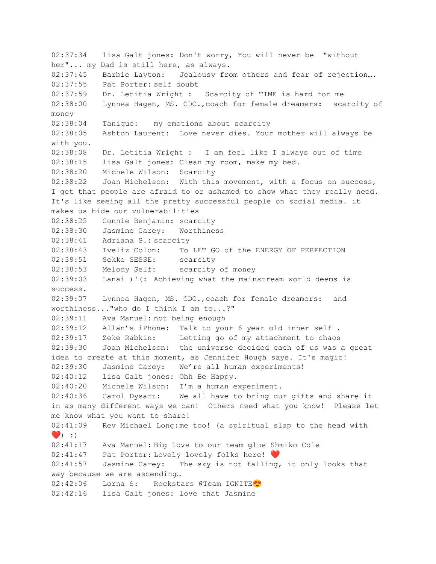02:37:34 lisa Galt jones: Don't worry, You will never be "without her"... my Dad is still here, as always. 02:37:45 Barbie Layton: Jealousy from others and fear of rejection…. 02:37:55 Pat Porter: self doubt 02:37:59 Dr. Letitia Wright : Scarcity of TIME is hard for me 02:38:00 Lynnea Hagen, MS. CDC.,coach for female dreamers: scarcity of money 02:38:04 Tanique: my emotions about scarcity 02:38:05 Ashton Laurent: Love never dies. Your mother will always be with you. 02:38:08 Dr. Letitia Wright : I am feel like I always out of time 02:38:15 lisa Galt jones: Clean my room, make my bed. 02:38:20 Michele Wilson: Scarcity 02:38:22 Joan Michelson: With this movement, with a focus on success, I get that people are afraid to or ashamed to show what they really need. It's like seeing all the pretty successful people on social media. it makes us hide our vulnerabilities 02:38:25 Connie Benjamin: scarcity 02:38:30 Jasmine Carey: Worthiness 02:38:41 Adriana S.: scarcity 02:38:43 Iveliz Colon: To LET GO of the ENERGY OF PERFECTION 02:38:51 Sekke SESSE: scarcity 02:38:53 Melody Self: scarcity of money 02:39:03 Lanai )'(: Achieving what the mainstream world deems is success. 02:39:07 Lynnea Hagen, MS. CDC.,coach for female dreamers: and worthiness..."who do I think I am to...?" 02:39:11 Ava Manuel: not being enough 02:39:12 Allan's iPhone: Talk to your 6 year old inner self . 02:39:17 Zeke Rabkin: Letting go of my attachment to chaos 02:39:30 Joan Michelson: the universe decided each of us was a great idea to create at this moment, as Jennifer Hough says. It's magic! 02:39:30 Jasmine Carey: We're all human experiments! 02:40:12 lisa Galt jones: Ohh Be Happy. 02:40:20 Michele Wilson: I'm a human experiment. 02:40:36 Carol Dysart: We all have to bring our gifts and share it in as many different ways we can! Others need what you know! Please let me know what you want to share! 02:41:09 Rev Michael Long:me too! (a spiritual slap to the head with  $\bullet$  : ) 02:41:17 Ava Manuel: Big love to our team glue Shmiko Cole 02:41:47 Pat Porter: Lovely lovely folks here! 02:41:57 Jasmine Carey: The sky is not falling, it only looks that way because we are ascending… 02:42:06 Lorna S: Rockstars @Team IGNITE<sup>0</sup> 02:42:16 lisa Galt jones: love that Jasmine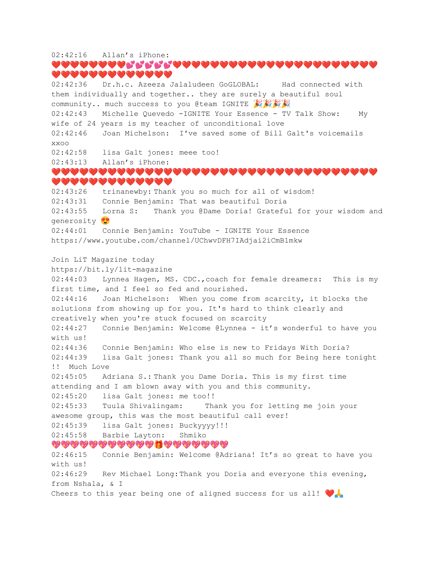### 02:42:16 Allan's iPhone: ❤️❤️❤️❤️❤️❤️❤️❤️❤️❤️❤️❤️❤️❤️❤️❤️❤️❤️❤️❤️❤️❤️❤️❤️❤️❤️❤️❤️❤️❤️ ❤️❤️❤️❤️❤️❤️❤️❤️❤️❤️❤️❤️❤️ 02:42:36 Dr.h.c. Azeeza Jalaludeen GoGLOBAL: Had connected with them individually and together.. they are surely a beautiful soul community.. much success to you @team IGNITE

02:42:43 Michelle Quevedo -IGNITE Your Essence - TV Talk Show: My wife of 24 years is my teacher of unconditional love

02:42:46 Joan Michelson: I've saved some of Bill Galt's voicemails xxoo

02:42:58 lisa Galt jones: meee too!

02:43:13 Allan's iPhone:

### ❤️❤️❤️❤️❤️❤️❤️❤️❤️❤️❤️❤️❤️❤️❤️❤️❤️❤️❤️❤️❤️❤️❤️❤️❤️❤️❤️❤️❤️❤️❤️❤️❤️❤️❤️ ❤️❤️❤️❤️❤️❤️❤️❤️❤️❤️❤️❤️❤️

02:43:26 trinanewby: Thank you so much for all of wisdom! 02:43:31 Connie Benjamin: That was beautiful Doria 02:43:55 Lorna S: Thank you @Dame Doria! Grateful for your wisdom and generosity<sup>9</sup> 02:44:01 Connie Benjamin: YouTube - IGNITE Your Essence https://www.youtube.com/channel/UChwvDFH7IAdjai2iCmB1mkw

Join LiT Magazine today

https://bit.ly/lit-magazine

02:44:03 Lynnea Hagen, MS. CDC., coach for female dreamers: This is my first time, and I feel so fed and nourished. 02:44:16 Joan Michelson: When you come from scarcity, it blocks the solutions from showing up for you. It's hard to think clearly and creatively when you're stuck focused on scarcity

02:44:27 Connie Benjamin: Welcome @Lynnea - it's wonderful to have you with us!

02:44:36 Connie Benjamin: Who else is new to Fridays With Doria? 02:44:39 lisa Galt jones: Thank you all so much for Being here tonight !! Much Love

02:45:05 Adriana S.: Thank you Dame Doria. This is my first time attending and I am blown away with you and this community. 02:45:20 lisa Galt jones: me too!!

02:45:33 Tuula Shivalingam: Thank you for letting me join your awesome group, this was the most beautiful call ever!

02:45:39 lisa Galt jones: Buckyyyy!!!

02:45:58 Barbie Layton: Shmiko

,,,,,,,,,,,,,,,,,,,,,,,,

02:46:15 Connie Benjamin: Welcome @Adriana! It's so great to have you with us! 02:46:29 Rev Michael Long: Thank you Doria and everyone this evening, from Nshala, & I Cheers to this year being one of aligned success for us all!  $\bigcirc$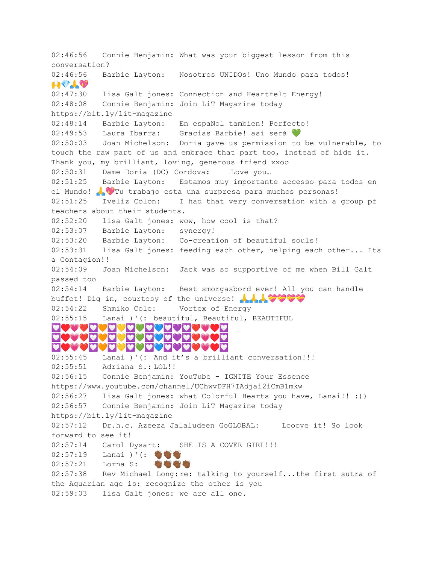02:46:56 Connie Benjamin: What was your biggest lesson from this conversation? 02:46:56 Barbie Layton: Nosotros UNIDOs! Uno Mundo para todos!  $\mathbf{L} \mathbf{V} \mathbf{L} \mathbf{V}$ 02:47:30 lisa Galt jones: Connection and Heartfelt Energy! 02:48:08 Connie Benjamin: Join LiT Magazine today https://bit.ly/lit-magazine 02:48:14 Barbie Layton: En espaNol tambien! Perfecto! 02:49:53 Laura Ibarra: Gracias Barbie! asi será 02:50:03 Joan Michelson: Doria gave us permission to be vulnerable, to touch the raw part of us and embrace that part too, instead of hide it. Thank you, my brilliant, loving, generous friend xxoo 02:50:31 Dame Doria (DC) Cordova: Love you... 02:51:25 Barbie Layton: Estamos muy importante accesso para todos en el Mundo! A V Tu trabajo esta una surpresa para muchos personas! 02:51:25 Iveliz Colon: I had that very conversation with a group pf teachers about their students. 02:52:20 lisa Galt jones: wow, how cool is that? 02:53:07 Barbie Layton: synergy! 02:53:20 Barbie Layton: Co-creation of beautiful souls! 02:53:31 lisa Galt jones: feeding each other, helping each other... Its a Contagion!! 02:54:09 Joan Michelson: Jack was so supportive of me when Bill Galt passed too 02:54:14 Barbie Layton: Best smorgasbord ever! All you can handle buffet! Dig in, courtesy of the universe! AAA 02:54:22 Shmiko Cole: Vortex of Energy 02:55:15 Lanai )'(: beautiful, Beautiful, BEAUTIFUL ♥️❤️❤️♥️ <u>dosadadadadadasad</u> ♥️❤️❤️♥️ 02:55:45 Lanai )'(: And it's a brilliant conversation!!! 02:55:51 Adriana S.: LOL!! 02:56:15 Connie Benjamin: YouTube - IGNITE Your Essence https://www.youtube.com/channel/UChwvDFH7IAdjai2iCmB1mkw 02:56:27 lisa Galt jones: what Colorful Hearts you have, Lanai!! :)) 02:56:57 Connie Benjamin: Join LiT Magazine today https://bit.ly/lit-magazine 02:57:12 Dr.h.c. Azeeza Jalaludeen GoGLOBAL: Looove it! So look forward to see it! 02:57:14 Carol Dysart: SHE IS A COVER GIRL!!! 02:57:19 Lanai )'(: \\\\\\\\ 02:57:21 Lorna S: **WINDER** 02:57:38 Rev Michael Long:re: talking to yourself...the first sutra of the Aquarian age is: recognize the other is you 02:59:03 lisa Galt jones: we are all one.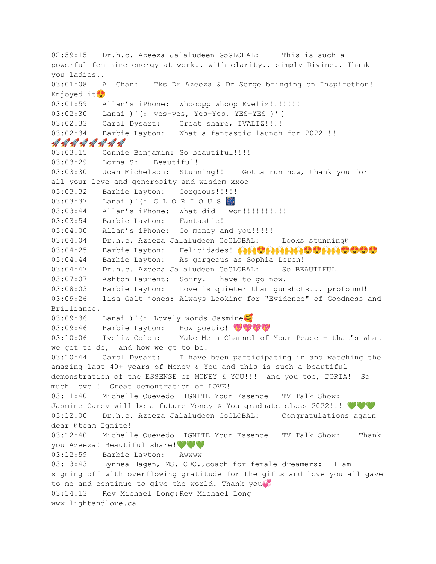02:59:15 Dr.h.c. Azeeza Jalaludeen GoGLOBAL: This is such a powerful feminine energy at work.. with clarity.. simply Divine.. Thank you ladies.. 03:01:08 Al Chan: Tks Dr Azeeza & Dr Serge bringing on Inspirethon! Enjoyed it<sup>1</sup> 03:01:59 Allan's iPhone: Whooopp whoop Eveliz!!!!!!!! 03:02:30 Lanai )'(: yes-yes, Yes-Yes, YES-YES )'( 03:02:33 Carol Dysart: Great share, IVALIZ!!!! 03:02:34 Barbie Layton: What a fantastic launch for 2022!!! AAAAAAAA 03:03:15 Connie Benjamin: So beautiful!!!! 03:03:29 Lorna S: Beautiful! 03:03:30 Joan Michelson: Stunning!! Gotta run now, thank you for all your love and generosity and wisdom xxoo 03:03:32 Barbie Layton: Gorgeous!!!!! 03:03:37 Lanai )'(: G L O R I O U S 3 03:03:44 Allan's iPhone: What did I won!!!!!!!!!!!! 03:03:54 Barbie Layton: Fantastic! 03:04:00 Allan's iPhone: Go money and you!!!!! 03:04:04 Dr.h.c. Azeeza Jalaludeen GoGLOBAL: Looks stunning@ 03:04:25 Barbie Layton: Felicidades!  $\bigoplus_{i=1}^n \bigoplus_{i=1}^n \bigoplus_{i=1}^n \bigoplus_{i=1}^n \bigoplus_{i=1}^n \bigoplus_{i=1}^n \bigoplus_{i=1}^n \bigoplus_{i=1}^n \bigoplus_{i=1}^n \bigoplus_{i=1}^n \bigoplus_{i=1}^n \bigoplus_{i=1}^n \bigoplus_{i=1}^n \bigoplus_{i=1}^n \bigoplus_{i=1}^n \bigoplus_{i=1}^n \bigoplus_{i=1$ 03:04:44 Barbie Layton: As gorgeous as Sophia Loren! 03:04:47 Dr.h.c. Azeeza Jalaludeen GoGLOBAL: So BEAUTIFUL! 03:07:07 Ashton Laurent: Sorry. I have to go now. 03:08:03 Barbie Layton: Love is quieter than gunshots….. profound! 03:09:26 lisa Galt jones: Always Looking for "Evidence" of Goodness and Brilliance. 03:09:36 Lanai )'(: Lovely words Jasmine 03:09:46 Barbie Layton: How poetic! 03:10:06 Iveliz Colon: Make Me a Channel of Your Peace - that's what we get to do, and how we gt to be! 03:10:44 Carol Dysart: I have been participating in and watching the amazing last 40+ years of Money & You and this is such a beautiful demonstration of the ESSENSE of MONEY & YOU!!! and you too, DORIA! So much love ! Great demontration of LOVE! 03:11:40 Michelle Quevedo -IGNITE Your Essence - TV Talk Show: Jasmine Carey will be a future Money & You graduate class 2022!!!  $\blacklozenge \blacklozenge \blacklozenge$ 03:12:00 Dr.h.c. Azeeza Jalaludeen GoGLOBAL: Congratulations again dear @team Ignite! 03:12:40 Michelle Quevedo -IGNITE Your Essence - TV Talk Show: Thank you Azeeza! Beautiful share!  $\bullet \bullet \bullet$ 03:12:59 Barbie Layton: Awwww 03:13:43 Lynnea Hagen, MS. CDC.,coach for female dreamers: I am signing off with overflowing gratitude for the gifts and love you all gave to me and continue to give the world. Thank you 03:14:13 Rev Michael Long:Rev Michael Long www.lightandlove.ca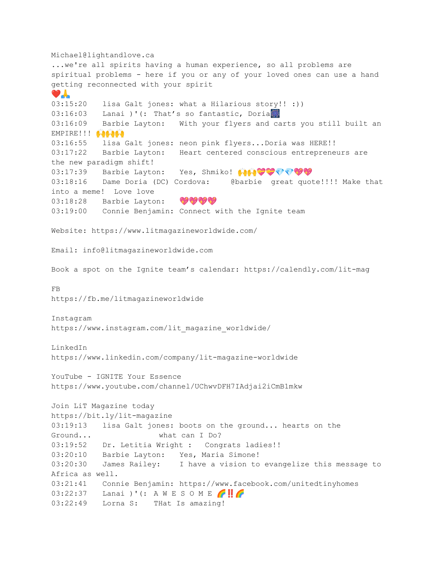Michael@lightandlove.ca ...we're all spirits having a human experience, so all problems are spiritual problems - here if you or any of your loved ones can use a hand getting reconnected with your spirit  $\bullet$ 03:15:20 lisa Galt jones: what a Hilarious story!! :)) 03:16:03 Lanai )'(: That's so fantastic, Doria 03:16:09 Barbie Layton: With your flyers and carts you still built an EMPIRE!!! +++++ 03:16:55 lisa Galt jones: neon pink flyers...Doria was HERE!! 03:17:22 Barbie Layton: Heart centered conscious entrepreneurs are the new paradigm shift! 03:17:39 Barbie Layton: Yes, Shmiko!  $\bigoplus_{i=1}^n \bigoplus_{i=1}^n \bigoplus_{i=1}^n \bigoplus_{i=1}^n \bigoplus_{i=1}^n \bigoplus_{i=1}^n \bigoplus_{i=1}^n \bigoplus_{i=1}^n \bigoplus_{i=1}^n \bigoplus_{i=1}^n \bigoplus_{i=1}^n \bigoplus_{i=1}^n \bigoplus_{i=1}^n \bigoplus_{i=1}^n \bigoplus_{i=1}^n \bigoplus_{i=1}^n \bigoplus_{i=$ 03:18:16 Dame Doria (DC) Cordova: @barbie great quote!!!! Make that into a meme! Love love 03:18:28 Barbie Layton: OVOU 03:19:00 Connie Benjamin: Connect with the Ignite team Website: https://www.litmagazineworldwide.com/ Email: info@litmagazineworldwide.com Book a spot on the Ignite team's calendar: https://calendly.com/lit-mag FB https://fb.me/litmagazineworldwide Instagram https://www.instagram.com/lit\_magazine\_worldwide/ LinkedIn https://www.linkedin.com/company/lit-magazine-worldwide YouTube - IGNITE Your Essence https://www.youtube.com/channel/UChwvDFH7IAdjai2iCmB1mkw Join LiT Magazine today https://bit.ly/lit-magazine 03:19:13 lisa Galt jones: boots on the ground... hearts on the Ground... what can I Do? 03:19:52 Dr. Letitia Wright : Congrats ladies!! 03:20:10 Barbie Layton: Yes, Maria Simone! 03:20:30 James Railey: I have a vision to evangelize this message to Africa as well. 03:21:41 Connie Benjamin: https://www.facebook.com/unitedtinyhomes  $03:22:37$  Lanai )'(: A W E S O M E  $\bigcap$ 03:22:49 Lorna S: THat Is amazing!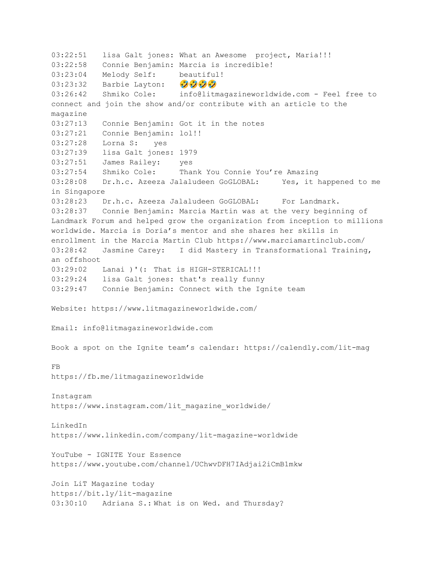03:22:51 lisa Galt jones: What an Awesome project, Maria!!! 03:22:58 Connie Benjamin: Marcia is incredible! 03:23:04 Melody Self: beautiful!  $03:23:32$  Barbie Layton:  $\mathcal{D}(\mathcal{D})$ 03:26:42 Shmiko Cole: info@litmagazineworldwide.com - Feel free to connect and join the show and/or contribute with an article to the magazine 03:27:13 Connie Benjamin: Got it in the notes 03:27:21 Connie Benjamin: lol!! 03:27:28 Lorna S: yes 03:27:39 lisa Galt jones: 1979 03:27:51 James Railey: yes 03:27:54 Shmiko Cole: Thank You Connie You're Amazing 03:28:08 Dr.h.c. Azeeza Jalaludeen GoGLOBAL: Yes, it happened to me in Singapore 03:28:23 Dr.h.c. Azeeza Jalaludeen GoGLOBAL: For Landmark. 03:28:37 Connie Benjamin: Marcia Martin was at the very beginning of Landmark Forum and helped grow the organization from inception to millions worldwide. Marcia is Doria's mentor and she shares her skills in enrollment in the Marcia Martin Club https://www.marciamartinclub.com/ 03:28:42 Jasmine Carey: I did Mastery in Transformational Training, an offshoot 03:29:02 Lanai )'(: That is HIGH-STERICAL!!! 03:29:24 lisa Galt jones: that's really funny 03:29:47 Connie Benjamin: Connect with the Ignite team Website: https://www.litmagazineworldwide.com/ Email: info@litmagazineworldwide.com Book a spot on the Ignite team's calendar: https://calendly.com/lit-mag FB https://fb.me/litmagazineworldwide Instagram https://www.instagram.com/lit\_magazine\_worldwide/ LinkedIn https://www.linkedin.com/company/lit-magazine-worldwide YouTube - IGNITE Your Essence https://www.youtube.com/channel/UChwvDFH7IAdjai2iCmB1mkw Join LiT Magazine today https://bit.ly/lit-magazine 03:30:10 Adriana S.: What is on Wed. and Thursday?